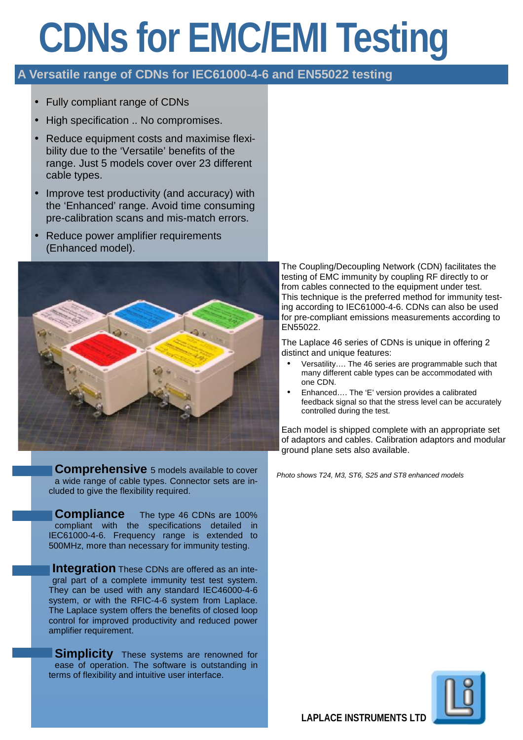# **CDNs for EMC/EMI Testing**

# **A Versatile range of CDNs for IEC61000-4-6 and EN55022 testing**

- Fully compliant range of CDNs
- High specification .. No compromises.
- Reduce equipment costs and maximise flexibility due to the 'Versatile' benefits of the range. Just 5 models cover over 23 different cable types.
- Improve test productivity (and accuracy) with the 'Enhanced' range. Avoid time consuming pre-calibration scans and mis-match errors.
- Reduce power amplifier requirements (Enhanced model).



**Comprehensive** 5 models available to cover a wide range of cable types. Connector sets are included to give the flexibility required.

**Compliance** The type 46 CDNs are 100% compliant with the specifications detailed in IEC61000-4-6. Frequency range is extended to 500MHz, more than necessary for immunity testing.

**Integration** These CDNs are offered as an integral part of a complete immunity test test system. They can be used with any standard IEC46000-4-6 system, or with the RFIC-4-6 system from Laplace. The Laplace system offers the benefits of closed loop control for improved productivity and reduced power amplifier requirement.

**Simplicity** These systems are renowned for ease of operation. The software is outstanding in terms of flexibility and intuitive user interface.

The Coupling/Decoupling Network (CDN) facilitates the testing of EMC immunity by coupling RF directly to or from cables connected to the equipment under test. This technique is the preferred method for immunity testing according to IEC61000-4-6. CDNs can also be used for pre-compliant emissions measurements according to EN55022.

The Laplace 46 series of CDNs is unique in offering 2 distinct and unique features:

- Versatility…. The 46 series are programmable such that many different cable types can be accommodated with one CDN.
- Enhanced…. The 'E' version provides a calibrated feedback signal so that the stress level can be accurately controlled during the test.

Each model is shipped complete with an appropriate set of adaptors and cables. Calibration adaptors and modular ground plane sets also available.

*Photo shows T24, M3, ST6, S25 and ST8 enhanced models*